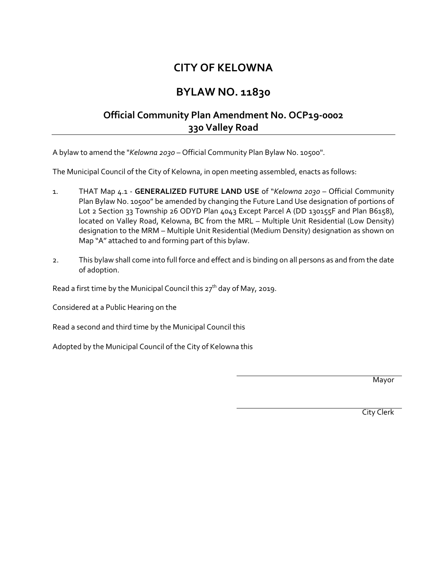## **CITY OF KELOWNA**

## **BYLAW NO. 11830**

## **Official Community Plan Amendment No. OCP19-0002 330 Valley Road**

A bylaw to amend the "*Kelowna 2030* – Official Community Plan Bylaw No. 10500".

The Municipal Council of the City of Kelowna, in open meeting assembled, enacts as follows:

- 1. THAT Map 4.1 **GENERALIZED FUTURE LAND USE** of "*Kelowna 2030* Official Community Plan Bylaw No. 10500" be amended by changing the Future Land Use designation of portions of Lot 2 Section 33 Township 26 ODYD Plan 4043 Except Parcel A (DD 130155F and Plan B6158), located on Valley Road, Kelowna, BC from the MRL – Multiple Unit Residential (Low Density) designation to the MRM – Multiple Unit Residential (Medium Density) designation as shown on Map "A" attached to and forming part of this bylaw.
- 2. This bylaw shall come into full force and effect and is binding on all persons as and from the date of adoption.

Read a first time by the Municipal Council this 27<sup>th</sup> day of May, 2019.

Considered at a Public Hearing on the

Read a second and third time by the Municipal Council this

Adopted by the Municipal Council of the City of Kelowna this

Mayor

City Clerk